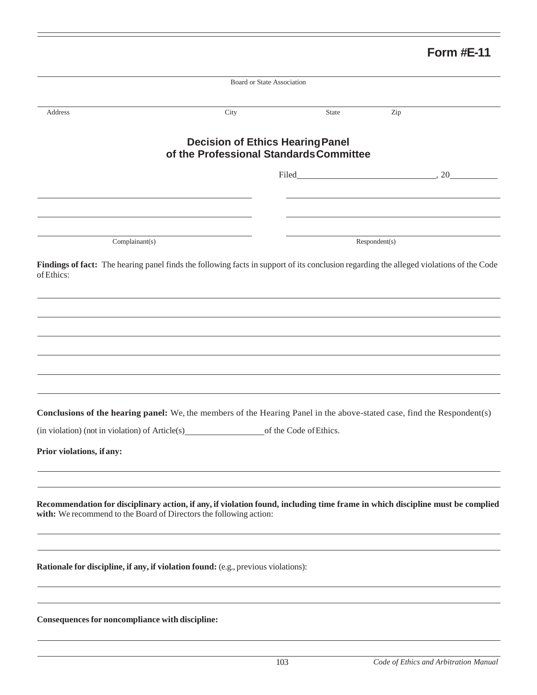## **Form #E-11**

| City<br><b>Decision of Ethics Hearing Panel</b><br>of the Professional Standards Committee |                                                 | <b>State</b>                                                                                                                                             | Zip                                                                    |                                                                                                                                                                                                                                                                                                                                                                                                                      |
|--------------------------------------------------------------------------------------------|-------------------------------------------------|----------------------------------------------------------------------------------------------------------------------------------------------------------|------------------------------------------------------------------------|----------------------------------------------------------------------------------------------------------------------------------------------------------------------------------------------------------------------------------------------------------------------------------------------------------------------------------------------------------------------------------------------------------------------|
|                                                                                            |                                                 |                                                                                                                                                          |                                                                        |                                                                                                                                                                                                                                                                                                                                                                                                                      |
|                                                                                            |                                                 |                                                                                                                                                          |                                                                        |                                                                                                                                                                                                                                                                                                                                                                                                                      |
|                                                                                            |                                                 | $Filed$ $\qquad \qquad \qquad \qquad .20$                                                                                                                |                                                                        |                                                                                                                                                                                                                                                                                                                                                                                                                      |
|                                                                                            |                                                 |                                                                                                                                                          |                                                                        |                                                                                                                                                                                                                                                                                                                                                                                                                      |
|                                                                                            |                                                 |                                                                                                                                                          |                                                                        |                                                                                                                                                                                                                                                                                                                                                                                                                      |
|                                                                                            |                                                 |                                                                                                                                                          |                                                                        |                                                                                                                                                                                                                                                                                                                                                                                                                      |
|                                                                                            |                                                 |                                                                                                                                                          |                                                                        |                                                                                                                                                                                                                                                                                                                                                                                                                      |
|                                                                                            |                                                 |                                                                                                                                                          |                                                                        |                                                                                                                                                                                                                                                                                                                                                                                                                      |
|                                                                                            |                                                 |                                                                                                                                                          |                                                                        |                                                                                                                                                                                                                                                                                                                                                                                                                      |
|                                                                                            |                                                 |                                                                                                                                                          |                                                                        |                                                                                                                                                                                                                                                                                                                                                                                                                      |
|                                                                                            |                                                 |                                                                                                                                                          |                                                                        |                                                                                                                                                                                                                                                                                                                                                                                                                      |
|                                                                                            |                                                 |                                                                                                                                                          |                                                                        |                                                                                                                                                                                                                                                                                                                                                                                                                      |
|                                                                                            |                                                 |                                                                                                                                                          |                                                                        |                                                                                                                                                                                                                                                                                                                                                                                                                      |
|                                                                                            |                                                 |                                                                                                                                                          |                                                                        |                                                                                                                                                                                                                                                                                                                                                                                                                      |
|                                                                                            |                                                 |                                                                                                                                                          |                                                                        |                                                                                                                                                                                                                                                                                                                                                                                                                      |
|                                                                                            |                                                 |                                                                                                                                                          |                                                                        |                                                                                                                                                                                                                                                                                                                                                                                                                      |
|                                                                                            | Consequences for noncompliance with discipline: | with: We recommend to the Board of Directors the following action:<br>Rationale for discipline, if any, if violation found: (e.g., previous violations): | (in violation) (not in violation) of Article(s) of the Code of Ethics. | Respondent(s)<br>Findings of fact: The hearing panel finds the following facts in support of its conclusion regarding the alleged violations of the Code<br>Conclusions of the hearing panel: We, the members of the Hearing Panel in the above-stated case, find the Respondent(s)<br>Recommendation for disciplinary action, if any, if violation found, including time frame in which discipline must be complied |